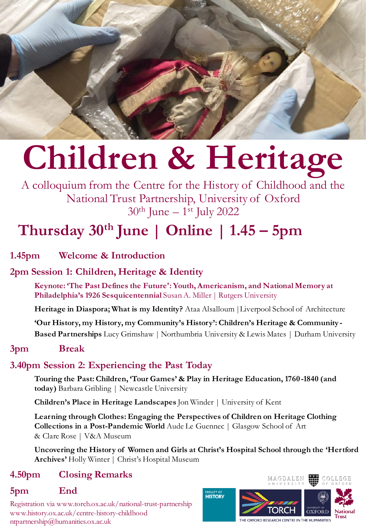

# **Children & Heritage**

A colloquium from the Centre for the History of Childhood and the National Trust Partnership, University of Oxford 30th June – 1 st July 2022

## **Thursday 30th June | Online | 1.45 – 5pm**

**1.45pm Welcome & Introduction**

## **2pm Session 1: Children, Heritage & Identity**

**Keynote: 'The Past Defines the Future': Youth, Americanism, and National Memory at Philadelphia's 1926 Sesquicentennial** Susan A. Miller | Rutgers University

**Heritage in Diaspora; What is my Identity?** Ataa Alsalloum |Liverpool School of Architecture

**'Our History, my History, my Community's History': Children's Heritage & Community - Based Partnerships** Lucy Grimshaw | Northumbria University & Lewis Mates | Durham University

## **3pm Break**

## **3.40pm Session 2: Experiencing the Past Today**

**Touring the Past: Children, 'Tour Games' & Play in Heritage Education, 1760 -1840 (and today)** Barbara Gribling | Newcastle University

**Children's Place in Heritage Landscapes** Jon Winder | University of Kent

**Learning through Clothes: Engaging the Perspectives of Children on Heritage Clothing Collections in a Post-Pandemic World** Aude Le Guennec | Glasgow School of Art & Clare Rose | V&A Museum

**Uncovering the History of Women and Girls at Christ's Hospital School through the 'Hertford Archives'** Holly Winter | Christ's Hospital Museum

## **4.50pm Closing Remarks**

## **5pm End**

Registration via www.torch.ox.ac.uk/national-trust-partnership www.history.ox.ac.uk/centre-history-childhood ntpartnership@humanities.ox.ac.uk